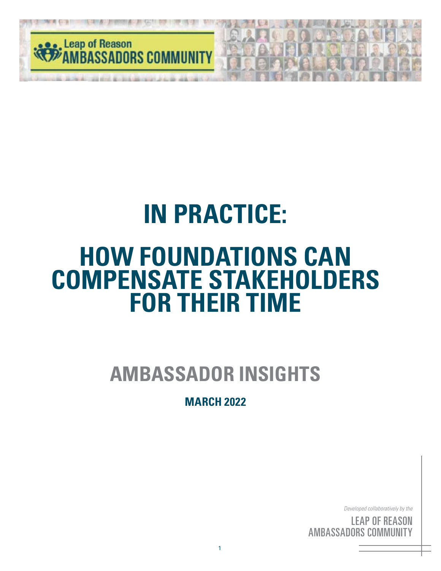

# **IN PRACTICE:**

# **HOW FOUNDATIONS CAN COMPENSATE STAKEHOLDERS FOR THEIR TIME**

# **AMBASSADOR INSIGHTS**

#### **MARCH 2022**

*Developed collaboratively by the*

<sup>c by</sup><br>S( <sup>the</sup><br>IN<br>'Y ' <sup>by</sup><br>SC<br>III <sub>the</sub><br>DN<br>FY LEAP OF REASON AMBASSADORS COMMUNITY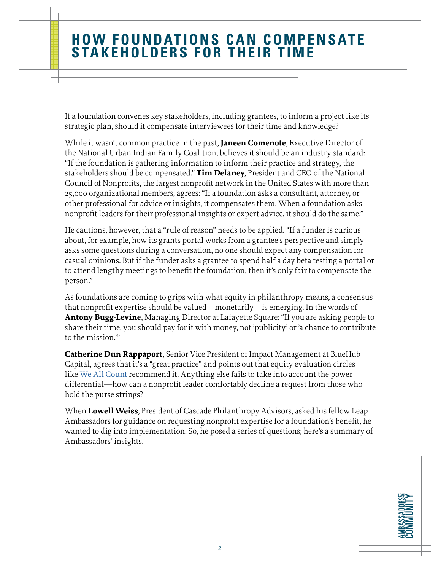If a foundation convenes key stakeholders, including grantees, to inform a project like its strategic plan, should it compensate interviewees for their time and knowledge?

While it wasn't common practice in the past, **Janeen Comenote**, Executive Director of the National Urban Indian Family Coalition, believes it should be an industry standard: "If the foundation is gathering information to inform their practice and strategy, the stakeholders should be compensated." **Tim Delaney**, President and CEO of the National Council of Nonprofits, the largest nonprofit network in the United States with more than 25,000 organizational members, agrees: "If a foundation asks a consultant, attorney, or other professional for advice or insights, it compensates them. When a foundation asks nonprofit leaders for their professional insights or expert advice, it should do the same."

He cautions, however, that a "rule of reason" needs to be applied. "If a funder is curious about, for example, how its grants portal works from a grantee's perspective and simply asks some questions during a conversation, no one should expect any compensation for casual opinions. But if the funder asks a grantee to spend half a day beta testing a portal or to attend lengthy meetings to benefit the foundation, then it's only fair to compensate the person."

As foundations are coming to grips with what equity in philanthropy means, a consensus that nonprofit expertise should be valued—monetarily—is emerging. In the words of **Antony Bugg-Levine**, Managing Director at Lafayette Square: "If you are asking people to share their time, you should pay for it with money, not 'publicity' or 'a chance to contribute to the mission.'"

**Catherine Dun Rappaport**, Senior Vice President of Impact Management at BlueHub Capital, agrees that it's a "great practice" and points out that equity evaluation circles like [We All Count](https://weallcount.com/) recommend it. Anything else fails to take into account the power differential—how can a nonprofit leader comfortably decline a request from those who hold the purse strings?

When **Lowell Weiss**, President of Cascade Philanthropy Advisors, asked his fellow Leap Ambassadors for guidance on requesting nonprofit expertise for a foundation's benefit, he wanted to dig into implementation. So, he posed a series of questions; here's a summary of Ambassadors' insights.

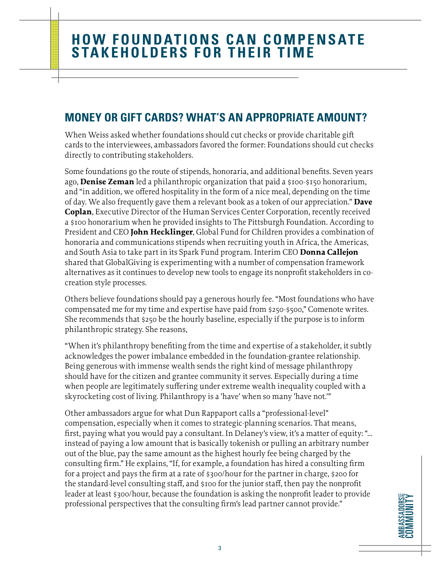#### **MONEY OR GIFT CARDS? WHAT'S AN APPROPRIATE AMOUNT?**

When Weiss asked whether foundations should cut checks or provide charitable gift cards to the interviewees, ambassadors favored the former: Foundations should cut checks directly to contributing stakeholders.

Some foundations go the route of stipends, honoraria, and additional benefits. Seven years ago, **Denise Zeman** led a philanthropic organization that paid a \$100-\$150 honorarium, and "in addition, we offered hospitality in the form of a nice meal, depending on the time of day. We also frequently gave them a relevant book as a token of our appreciation." **Dave Coplan**, Executive Director of the Human Services Center Corporation, recently received a \$100 honorarium when he provided insights to The Pittsburgh Foundation. According to President and CEO **John Hecklinger**, Global Fund for Children provides a combination of honoraria and communications stipends when recruiting youth in Africa, the Americas, and South Asia to take part in its Spark Fund program. Interim CEO **Donna Callejon** shared that GlobalGiving is experimenting with a number of compensation framework alternatives as it continues to develop new tools to engage its nonprofit stakeholders in cocreation style processes.

Others believe foundations should pay a generous hourly fee. "Most foundations who have compensated me for my time and expertise have paid from \$250-\$500," Comenote writes. She recommends that \$250 be the hourly baseline, especially if the purpose is to inform philanthropic strategy. She reasons,

"When it's philanthropy benefiting from the time and expertise of a stakeholder, it subtly acknowledges the power imbalance embedded in the foundation-grantee relationship. Being generous with immense wealth sends the right kind of message philanthropy should have for the citizen and grantee community it serves. Especially during a time when people are legitimately suffering under extreme wealth inequality coupled with a skyrocketing cost of living. Philanthropy is a 'have' when so many 'have not.'"

Other ambassadors argue for what Dun Rappaport calls a "professional-level" compensation, especially when it comes to strategic-planning scenarios. That means, first, paying what you would pay a consultant. In Delaney's view, it's a matter of equity: "… instead of paying a low amount that is basically tokenish or pulling an arbitrary number out of the blue, pay the same amount as the highest hourly fee being charged by the consulting firm." He explains, "If, for example, a foundation has hired a consulting firm for a project and pays the firm at a rate of \$300/hour for the partner in charge, \$200 for the standard-level consulting staff, and \$100 for the junior staff, then pay the nonprofit leader at least \$300/hour, because the foundation is asking the nonprofit leader to provide professional perspectives that the consulting firm's lead partner cannot provide."

**AMBASSADORS COMMUNITY AMBASSADORS** COMMUNITY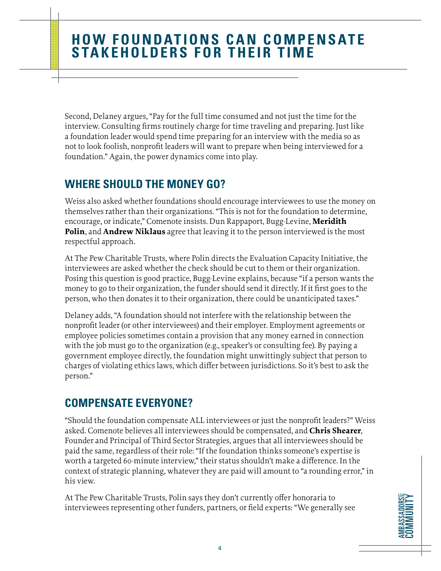Second, Delaney argues, "Pay for the full time consumed and not just the time for the interview. Consulting firms routinely charge for time traveling and preparing. Just like a foundation leader would spend time preparing for an interview with the media so as not to look foolish, nonprofit leaders will want to prepare when being interviewed for a foundation." Again, the power dynamics come into play.

#### **WHERE SHOULD THE MONEY GO?**

Weiss also asked whether foundations should encourage interviewees to use the money on themselves rather than their organizations. "This is not for the foundation to determine, encourage, or indicate," Comenote insists. Dun Rappaport, Bugg-Levine, **Meridith Polin**, and **Andrew Niklaus** agree that leaving it to the person interviewed is the most respectful approach.

At The Pew Charitable Trusts, where Polin directs the Evaluation Capacity Initiative, the interviewees are asked whether the check should be cut to them or their organization. Posing this question is good practice, Bugg-Levine explains, because "if a person wants the money to go to their organization, the funder should send it directly. If it first goes to the person, who then donates it to their organization, there could be unanticipated taxes."

Delaney adds, "A foundation should not interfere with the relationship between the nonprofit leader (or other interviewees) and their employer. Employment agreements or employee policies sometimes contain a provision that any money earned in connection with the job must go to the organization (e.g., speaker's or consulting fee). By paying a government employee directly, the foundation might unwittingly subject that person to charges of violating ethics laws, which differ between jurisdictions. So it's best to ask the person."

#### **COMPENSATE EVERYONE?**

"Should the foundation compensate ALL interviewees or just the nonprofit leaders?" Weiss asked. Comenote believes all interviewees should be compensated, and **Chris Shearer**, Founder and Principal of Third Sector Strategies, argues that all interviewees should be paid the same, regardless of their role: "If the foundation thinks someone's expertise is worth a targeted 60-minute interview," their status shouldn't make a difference. In the context of strategic planning, whatever they are paid will amount to "a rounding error," in his view.

At The Pew Charitable Trusts, Polin says they don't currently offer honoraria to interviewees representing other funders, partners, or field experts: "We generally see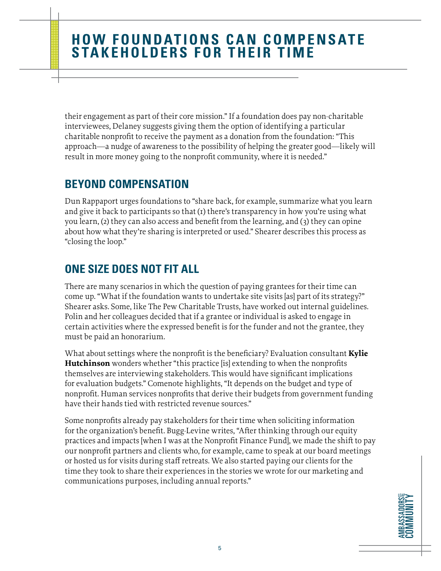their engagement as part of their core mission." If a foundation does pay non-charitable interviewees, Delaney suggests giving them the option of identifying a particular charitable nonprofit to receive the payment as a donation from the foundation: "This approach—a nudge of awareness to the possibility of helping the greater good—likely will result in more money going to the nonprofit community, where it is needed."

#### **BEYOND COMPENSATION**

Dun Rappaport urges foundations to "share back, for example, summarize what you learn and give it back to participants so that  $(r)$  there's transparency in how you're using what you learn, (2) they can also access and benefit from the learning, and (3) they can opine about how what they're sharing is interpreted or used." Shearer describes this process as "closing the loop."

#### **ONE SIZE DOES NOT FIT ALL**

There are many scenarios in which the question of paying grantees for their time can come up. "What if the foundation wants to undertake site visits [as] part of its strategy?" Shearer asks. Some, like The Pew Charitable Trusts, have worked out internal guidelines. Polin and her colleagues decided that if a grantee or individual is asked to engage in certain activities where the expressed benefit is for the funder and not the grantee, they must be paid an honorarium.

What about settings where the nonprofit is the beneficiary? Evaluation consultant **Kylie Hutchinson** wonders whether "this practice [is] extending to when the nonprofits themselves are interviewing stakeholders. This would have significant implications for evaluation budgets." Comenote highlights, "It depends on the budget and type of nonprofit. Human services nonprofits that derive their budgets from government funding have their hands tied with restricted revenue sources."

Some nonprofits already pay stakeholders for their time when soliciting information for the organization's benefit. Bugg-Levine writes, "After thinking through our equity practices and impacts [when I was at the Nonprofit Finance Fund], we made the shift to pay our nonprofit partners and clients who, for example, came to speak at our board meetings or hosted us for visits during staff retreats. We also started paying our clients for the time they took to share their experiences in the stories we wrote for our marketing and communications purposes, including annual reports."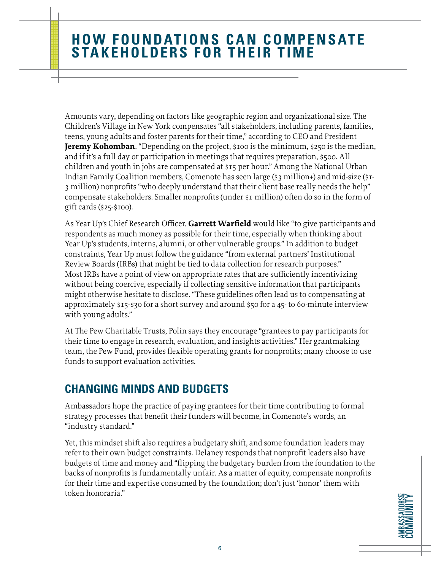Amounts vary, depending on factors like geographic region and organizational size. The Children's Village in New York compensates "all stakeholders, including parents, families, teens, young adults and foster parents for their time," according to CEO and President **Jeremy Kohomban**. "Depending on the project, \$100 is the minimum, \$250 is the median, and if it's a full day or participation in meetings that requires preparation, \$500. All children and youth in jobs are compensated at \$15 per hour." Among the National Urban Indian Family Coalition members, Comenote has seen large (\$3 million+) and mid-size (\$1- 3 million) nonprofits "who deeply understand that their client base really needs the help" compensate stakeholders. Smaller nonprofits (under \$1 million) often do so in the form of gift cards (\$25-\$100).

As Year Up's Chief Research Officer, **Garrett Warfield** would like "to give participants and respondents as much money as possible for their time, especially when thinking about Year Up's students, interns, alumni, or other vulnerable groups." In addition to budget constraints, Year Up must follow the guidance "from external partners' Institutional Review Boards (IRBs) that might be tied to data collection for research purposes." Most IRBs have a point of view on appropriate rates that are sufficiently incentivizing without being coercive, especially if collecting sensitive information that participants might otherwise hesitate to disclose. "These guidelines often lead us to compensating at approximately  $$15-$30$  for a short survey and around  $$50$  for a  $45-$  to 60-minute interview with young adults."

At The Pew Charitable Trusts, Polin says they encourage "grantees to pay participants for their time to engage in research, evaluation, and insights activities." Her grantmaking team, the Pew Fund, provides flexible operating grants for nonprofits; many choose to use funds to support evaluation activities.

#### **CHANGING MINDS AND BUDGETS**

Ambassadors hope the practice of paying grantees for their time contributing to formal strategy processes that benefit their funders will become, in Comenote's words, an "industry standard."

Yet, this mindset shift also requires a budgetary shift, and some foundation leaders may refer to their own budget constraints. Delaney responds that nonprofit leaders also have budgets of time and money and "flipping the budgetary burden from the foundation to the backs of nonprofits is fundamentally unfair. As a matter of equity, compensate nonprofits for their time and expertise consumed by the foundation; don't just 'honor' them with token honoraria."